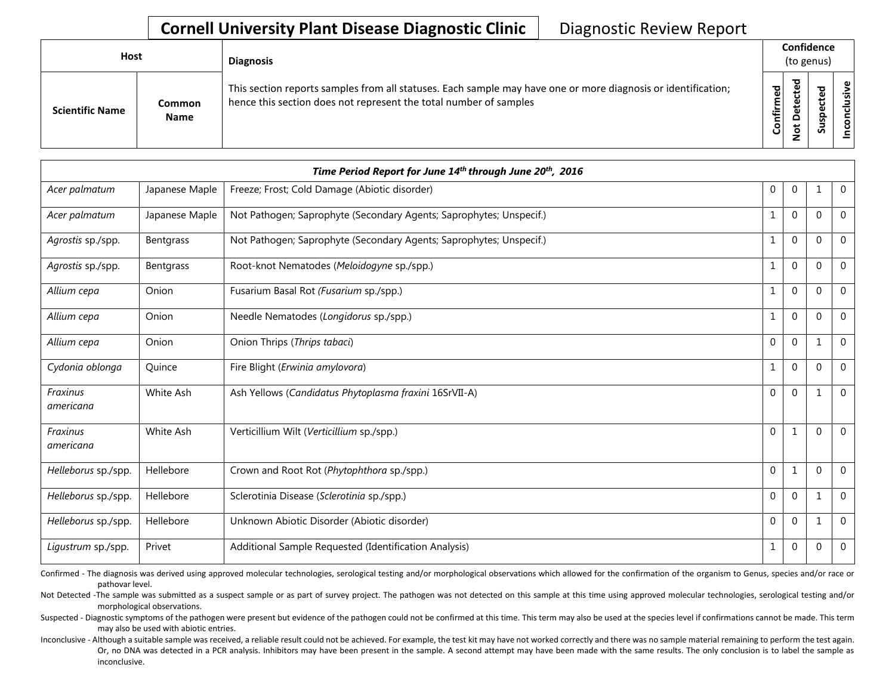## **Cornell University Plant Disease Diagnostic Clinic** | Diagnostic Review Report

| Host                   |                              | <b>Diagnosis</b>                                                                                                                                                                   |           |                       | Confidence<br>(to genus) |               |
|------------------------|------------------------------|------------------------------------------------------------------------------------------------------------------------------------------------------------------------------------|-----------|-----------------------|--------------------------|---------------|
| <b>Scientific Name</b> | <b>Common</b><br><b>Name</b> | This section reports samples from all statuses. Each sample may have one or more diagnosis or identification;<br>hence this section does not represent the total number of samples | Confirmed | ᇃ<br>Φ<br>۵<br>پ<br>⇁ | ທ                        | ω<br>⊰÷<br>᠊ᠣ |

|                       |                | Time Period Report for June 14th through June 20th, 2016            |              |                |              |             |
|-----------------------|----------------|---------------------------------------------------------------------|--------------|----------------|--------------|-------------|
| Acer palmatum         | Japanese Maple | Freeze; Frost; Cold Damage (Abiotic disorder)                       | 0            | 0              | 1            | $\mathbf 0$ |
| Acer palmatum         | Japanese Maple | Not Pathogen; Saprophyte (Secondary Agents; Saprophytes; Unspecif.) | 1            | 0              | $\mathbf 0$  | $\mathbf 0$ |
| Agrostis sp./spp.     | Bentgrass      | Not Pathogen; Saprophyte (Secondary Agents; Saprophytes; Unspecif.) | $\mathbf 1$  | $\mathbf{0}$   | $\mathbf 0$  | $\mathbf 0$ |
| Agrostis sp./spp.     | Bentgrass      | Root-knot Nematodes (Meloidogyne sp./spp.)                          | $\mathbf 1$  | $\overline{0}$ | $\mathbf{0}$ | $\mathbf 0$ |
| Allium cepa           | Onion          | Fusarium Basal Rot (Fusarium sp./spp.)                              | 1            | $\overline{0}$ | $\mathbf{0}$ | $\Omega$    |
| Allium cepa           | Onion          | Needle Nematodes (Longidorus sp./spp.)                              | 1            | $\overline{0}$ | $\mathbf{0}$ | $\Omega$    |
| Allium cepa           | Onion          | Onion Thrips (Thrips tabaci)                                        | 0            | $\overline{0}$ | $\mathbf{1}$ | $\mathbf 0$ |
| Cydonia oblonga       | Quince         | Fire Blight (Erwinia amylovora)                                     | 1            | $\mathbf{0}$   | $\mathbf 0$  | $\mathbf 0$ |
| Fraxinus<br>americana | White Ash      | Ash Yellows (Candidatus Phytoplasma fraxini 16SrVII-A)              | $\mathbf{0}$ | $\overline{0}$ | 1            | $\Omega$    |
| Fraxinus<br>americana | White Ash      | Verticillium Wilt (Verticillium sp./spp.)                           | $\mathbf{0}$ | 1              | $\mathbf 0$  | $\Omega$    |
| Helleborus sp./spp.   | Hellebore      | Crown and Root Rot (Phytophthora sp./spp.)                          | 0            | 1              | $\mathbf{0}$ | $\mathbf 0$ |
| Helleborus sp./spp.   | Hellebore      | Sclerotinia Disease (Sclerotinia sp./spp.)                          | $\mathbf 0$  | $\overline{0}$ | 1            | $\mathbf 0$ |
| Helleborus sp./spp.   | Hellebore      | Unknown Abiotic Disorder (Abiotic disorder)                         | $\mathbf{0}$ | $\overline{0}$ | $\mathbf{1}$ | 0           |
| Ligustrum sp./spp.    | Privet         | Additional Sample Requested (Identification Analysis)               | 1            | $\mathbf{0}$   | $\mathbf{0}$ | $\mathbf 0$ |

Confirmed - The diagnosis was derived using approved molecular technologies, serological testing and/or morphological observations which allowed for the confirmation of the organism to Genus, species and/or race or pathovar level.

Not Detected -The sample was submitted as a suspect sample or as part of survey project. The pathogen was not detected on this sample at this time using approved molecular technologies, serological testing and/or morphological observations.

Suspected - Diagnostic symptoms of the pathogen were present but evidence of the pathogen could not be confirmed at this time. This term may also be used at the species level if confirmations cannot be made. This term may also be used with abiotic entries.

Inconclusive - Although a suitable sample was received, a reliable result could not be achieved. For example, the test kit may have not worked correctly and there was no sample material remaining to perform the test again. Or, no DNA was detected in a PCR analysis. Inhibitors may have been present in the sample. A second attempt may have been made with the same results. The only conclusion is to label the sample as inconclusive.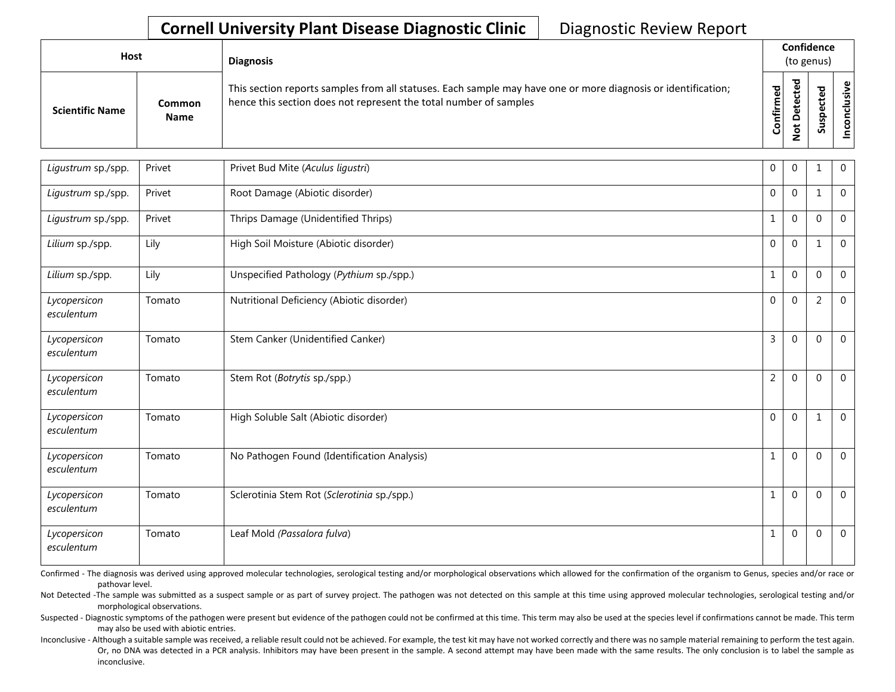## **Cornell University Plant Disease Diagnostic Clinic** | Diagnostic Review Report

| Host                   |                       | <b>Diagnosis</b>                                                                                                                                                                   |                              | Confidence<br>(to genus) |                            |                      |
|------------------------|-----------------------|------------------------------------------------------------------------------------------------------------------------------------------------------------------------------------|------------------------------|--------------------------|----------------------------|----------------------|
| <b>Scientific Name</b> | Common<br><b>Name</b> | This section reports samples from all statuses. Each sample may have one or more diagnosis or identification;<br>hence this section does not represent the total number of samples | ъ<br>ω<br><b>onfirm</b><br>Ū | ъ<br>◠<br>$\rightarrow$  | ω<br>∸<br>ω<br>௨<br>s<br>n | စ္၊<br>$\frac{2}{3}$ |

| Ligustrum sp./spp.         | Privet | Privet Bud Mite (Aculus ligustri)           | $\mathbf 0$    | $\mathbf{0}$ | 1              | $\mathbf{0}$ |
|----------------------------|--------|---------------------------------------------|----------------|--------------|----------------|--------------|
| Ligustrum sp./spp.         | Privet | Root Damage (Abiotic disorder)              | $\mathbf 0$    | $\mathbf{0}$ | 1              | $\mathbf 0$  |
| Ligustrum sp./spp.         | Privet | Thrips Damage (Unidentified Thrips)         | $\mathbf{1}$   | $\mathbf 0$  | $\Omega$       | $\mathbf{0}$ |
| Lilium sp./spp.            | Lily   | High Soil Moisture (Abiotic disorder)       | $\mathbf 0$    | $\mathbf 0$  | $\mathbf{1}$   | $\mathbf 0$  |
| Lilium sp./spp.            | Lily   | Unspecified Pathology (Pythium sp./spp.)    | $\mathbf{1}$   | $\mathbf 0$  | $\mathbf 0$    | $\mathbf 0$  |
| Lycopersicon<br>esculentum | Tomato | Nutritional Deficiency (Abiotic disorder)   | $\mathbf 0$    | $\mathbf 0$  | $\overline{2}$ | $\mathbf 0$  |
| Lycopersicon<br>esculentum | Tomato | Stem Canker (Unidentified Canker)           | 3              | $\mathbf{0}$ | $\Omega$       | $\mathbf 0$  |
| Lycopersicon<br>esculentum | Tomato | Stem Rot (Botrytis sp./spp.)                | $\overline{2}$ | $\mathbf 0$  | $\Omega$       | $\mathbf 0$  |
| Lycopersicon<br>esculentum | Tomato | High Soluble Salt (Abiotic disorder)        | $\mathbf{0}$   | $\mathbf{0}$ | $\mathbf{1}$   | $\mathbf{0}$ |
| Lycopersicon<br>esculentum | Tomato | No Pathogen Found (Identification Analysis) | $\mathbf{1}$   | $\mathbf{0}$ | $\Omega$       | $\mathbf{0}$ |
| Lycopersicon<br>esculentum | Tomato | Sclerotinia Stem Rot (Sclerotinia sp./spp.) | $\mathbf{1}$   | $\mathbf 0$  | $\Omega$       | $\mathbf 0$  |
| Lycopersicon<br>esculentum | Tomato | Leaf Mold (Passalora fulva)                 | $\mathbf{1}$   | $\mathbf 0$  | $\mathbf 0$    | $\mathbf 0$  |

Confirmed - The diagnosis was derived using approved molecular technologies, serological testing and/or morphological observations which allowed for the confirmation of the organism to Genus, species and/or race or pathovar level.

Not Detected -The sample was submitted as a suspect sample or as part of survey project. The pathogen was not detected on this sample at this time using approved molecular technologies, serological testing and/or morphological observations.

Suspected - Diagnostic symptoms of the pathogen were present but evidence of the pathogen could not be confirmed at this time. This term may also be used at the species level if confirmations cannot be made. This term may also be used with abiotic entries.

Inconclusive - Although a suitable sample was received, a reliable result could not be achieved. For example, the test kit may have not worked correctly and there was no sample material remaining to perform the test again. Or, no DNA was detected in a PCR analysis. Inhibitors may have been present in the sample. A second attempt may have been made with the same results. The only conclusion is to label the sample as inconclusive.